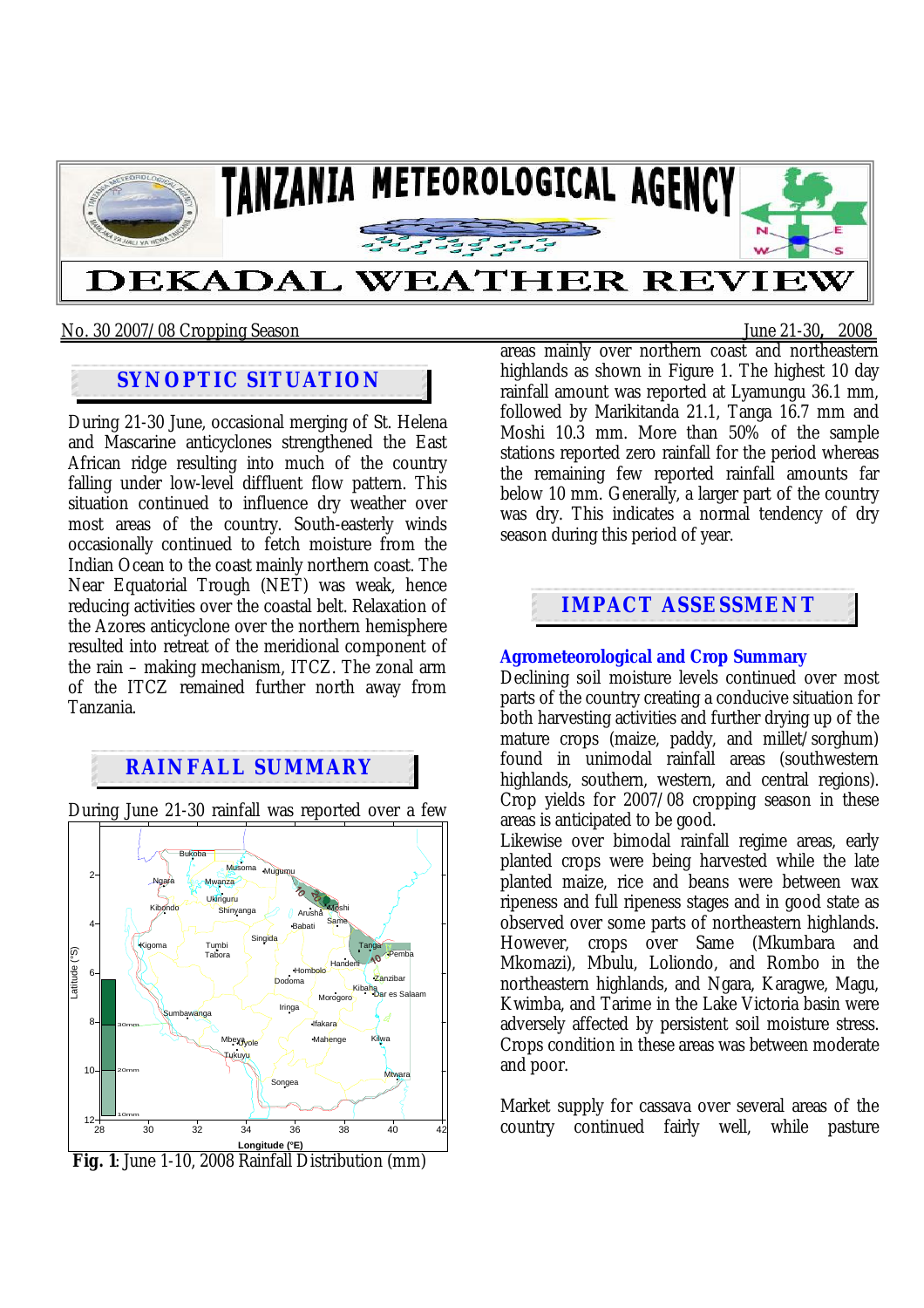

### No. 30 2007/08 Cropping Season June 21-30**,** 2008

# **SYNOPTIC SITUATION**

During 21-30 June, occasional merging of St. Helena and Mascarine anticyclones strengthened the East African ridge resulting into much of the country falling under low-level diffluent flow pattern. This situation continued to influence dry weather over most areas of the country. South-easterly winds occasionally continued to fetch moisture from the Indian Ocean to the coast mainly northern coast. The Near Equatorial Trough (NET) was weak, hence reducing activities over the coastal belt. Relaxation of the Azores anticyclone over the northern hemisphere resulted into retreat of the meridional component of the rain – making mechanism, ITCZ. The zonal arm of the ITCZ remained further north away from Tanzania.

## **RAINFALL SUMMARY**

During June 21-30 rainfall was reported over a few



 **Fig. 1**: June 1-10, 2008 Rainfall Distribution (mm)

areas mainly over northern coast and northeastern highlands as shown in Figure 1. The highest 10 day rainfall amount was reported at Lyamungu 36.1 mm, followed by Marikitanda 21.1, Tanga 16.7 mm and Moshi 10.3 mm. More than 50% of the sample stations reported zero rainfall for the period whereas the remaining few reported rainfall amounts far below 10 mm. Generally, a larger part of the country was dry. This indicates a normal tendency of dry season during this period of year.

# **IMPACT ASSESSMENT**

## **Agrometeorological and Crop Summary**

Declining soil moisture levels continued over most parts of the country creating a conducive situation for both harvesting activities and further drying up of the mature crops (maize, paddy, and millet/sorghum) found in unimodal rainfall areas (southwestern highlands, southern, western, and central regions). Crop yields for 2007/08 cropping season in these areas is anticipated to be good.

Likewise over bimodal rainfall regime areas, early planted crops were being harvested while the late planted maize, rice and beans were between wax ripeness and full ripeness stages and in good state as observed over some parts of northeastern highlands. However, crops over Same (Mkumbara and Mkomazi), Mbulu, Loliondo, and Rombo in the northeastern highlands, and Ngara, Karagwe, Magu, Kwimba, and Tarime in the Lake Victoria basin were adversely affected by persistent soil moisture stress. Crops condition in these areas was between moderate and poor.

Market supply for cassava over several areas of the country continued fairly well, while pasture